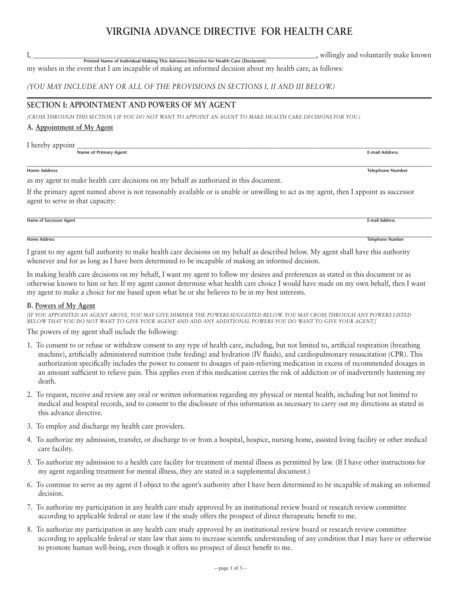# **VIRGINIA ADVANCE DIRECTIVE FOR HEALTH CARE**

my wishes in the event that I am incapable of making an informed decision about my health care, as follows: **Printed Name of Individual Making This Advance Directive for Health Care (Declarant)**

## *(YOU MAY INCLUDE ANY OR ALL OF THE PROVISIONS IN SECTIONS I, II AND III BELOW.)*

# **SECTION I: APPOINTMENT AND POWERS OF MY AGENT**

*(CROSS THROUGH THIS SECTION I IF YOU DO NOT WANT TO APPOINT AN AGENT TO MAKE HEALTH CARE DECISIONS FOR YOU.)* 

## **A. Appointment of My Agent**

I hereby appoint <br>Name of Primary Agent **Name of Primary Agent** 

as my agent to make health care decisions on my behalf as authorized in this document.

If the primary agent named above is not reasonably available or is unable or unwilling to act as my agent, then I appoint as successor agent to serve in that capacity:

#### **Name of Successor Agent E-mail Address**

I grant to my agent full authority to make health care decisions on my behalf as described below. My agent shall have this authority whenever and for as long as I have been determined to be incapable of making an informed decision.

In making health care decisions on my behalf, I want my agent to follow my desires and preferences as stated in this document or as otherwise known to him or her. If my agent cannot determine what health care choice I would have made on my own behalf, then I want my agent to make a choice for me based upon what he or she believes to be in my best interests.

### **B. Powers of My Agent**

*[IF YOU APPOINTED AN AGENT ABOVE, YOU MAY GIVE HIM/HER THE POWERS SUGGESTED BELOW. YOU MAY CROSS THROUGH ANY POWERS LISTED BELOW THAT YOU DO NOT WANT TO GIVE YOUR AGENT AND ADD ANY ADDITIONAL POWERS YOU DO WANT TO GIVE YOUR AGENT.]* 

The powers of my agent shall include the following:

- 1. To consent to or refuse or withdraw consent to any type of health care, including, but not limited to, artificial respiration (breathing machine), artificially administered nutrition (tube feeding) and hydration (IV fluids), and cardiopulmonary resuscitation (CPR). This authorization specifically includes the power to consent to dosages of pain-relieving medication in excess of recommended dosages in an amount sufficient to relieve pain. This applies even if this medication carries the risk of addiction or of inadvertently hastening my death.
- 2. To request, receive and review any oral or written information regarding my physical or mental health, including but not limited to medical and hospital records, and to consent to the disclosure of this information as necessary to carry out my directions as stated in this advance directive.
- 3. To employ and discharge my health care providers.
- 4. To authorize my admission, transfer, or discharge to or from a hospital, hospice, nursing home, assisted living facility or other medical care facility.
- 5. To authorize my admission to a health care facility for treatment of mental illness as permitted by law. (If I have other instructions for my agent regarding treatment for mental illness, they are stated in a supplemental document.)
- 6. To continue to serve as my agent if I object to the agent's authority after I have been determined to be incapable of making an informed decision.
- 7. To authorize my participation in any health care study approved by an institutional review board or research review committee according to applicable federal or state law if the study offers the prospect of direct therapeutic benefit to me.
- 8. To authorize my participation in any health care study approved by an institutional review board or research review committee according to applicable federal or state law that aims to increase scientific understanding of any condition that I may have or otherwise to promote human well-being, even though it offers no prospect of direct benefit to me.

I, the contraction of the contraction of the contraction of the contraction of the contraction of the contraction of the contraction of the contraction of the contraction of the contraction of the contraction of the contra

\_\_\_\_\_\_\_\_\_\_\_\_\_\_\_\_\_\_\_\_\_\_\_\_\_\_\_\_\_\_\_\_\_\_\_\_\_\_\_\_\_\_\_\_\_\_\_\_\_\_\_\_\_\_\_\_\_\_\_\_\_\_\_\_\_\_\_\_\_\_\_\_\_\_\_\_\_\_\_\_\_\_\_\_\_\_\_\_\_\_\_\_\_\_\_\_\_\_\_\_\_\_\_\_\_\_\_\_\_\_\_\_\_\_\_\_\_\_\_\_ **Home Address Telephone Number**

**Home Address Telephone Number**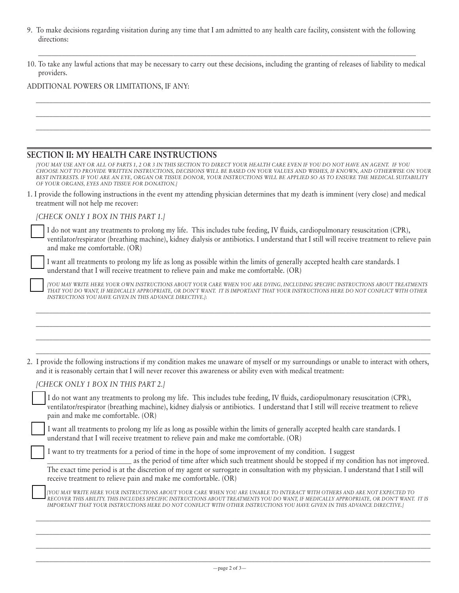9. To make decisions regarding visitation during any time that I am admitted to any health care facility, consistent with the following directions:

| 10. To take any lawful actions that may be necessary to carry out these decisions, including the granting of releases of liability to medical |  |
|-----------------------------------------------------------------------------------------------------------------------------------------------|--|
| providers.                                                                                                                                    |  |

\_\_\_\_\_\_\_\_\_\_\_\_\_\_\_\_\_\_\_\_\_\_\_\_\_\_\_\_\_\_\_\_\_\_\_\_\_\_\_\_\_\_\_\_\_\_\_\_\_\_\_\_\_\_\_\_\_\_\_\_\_\_\_\_\_\_\_\_\_\_\_\_\_\_\_\_\_\_\_\_\_\_\_\_\_\_\_\_\_\_\_\_\_\_\_\_\_\_\_\_\_\_\_\_\_\_\_\_\_\_\_\_\_\_\_\_\_ \_\_\_\_\_\_\_\_\_\_\_\_\_\_\_\_\_\_\_\_\_\_\_\_\_\_\_\_\_\_\_\_\_\_\_\_\_\_\_\_\_\_\_\_\_\_\_\_\_\_\_\_\_\_\_\_\_\_\_\_\_\_\_\_\_\_\_\_\_\_\_\_\_\_\_\_\_\_\_\_\_\_\_\_\_\_\_\_\_\_\_\_\_\_\_\_\_\_\_\_\_\_\_\_\_\_\_\_\_\_\_\_\_\_\_\_\_ \_\_\_\_\_\_\_\_\_\_\_\_\_\_\_\_\_\_\_\_\_\_\_\_\_\_\_\_\_\_\_\_\_\_\_\_\_\_\_\_\_\_\_\_\_\_\_\_\_\_\_\_\_\_\_\_\_\_\_\_\_\_\_\_\_\_\_\_\_\_\_\_\_\_\_\_\_\_\_\_\_\_\_\_\_\_\_\_\_\_\_\_\_\_\_\_\_\_\_\_\_\_\_\_\_\_\_\_\_\_\_\_\_\_\_\_\_

## ADDITIONAL POWERS OR LIMITATIONS, IF ANY:

# **SECTION II: MY HEALTH CARE INSTRUCTIONS**

| TYOU MAY USE ANY OR ALL OF PARTS 1, 2 OR 3 IN THIS SECTION TO DIRECT YOUR HEALTH CARE EVEN IF YOU DO NOT HAVE AN AGENT. IF YOU      |
|-------------------------------------------------------------------------------------------------------------------------------------|
| CHOOSE NOT TO PROVIDE WRITTEN INSTRUCTIONS. DECISIONS WILL BE BASED ON YOUR VALUES AND WISHES. IF KNOWN, AND OTHERWISE ON YOUR      |
| BEST INTERESTS. IF YOU ARE AN EYE, ORGAN OR TISSUE DONOR, YOUR INSTRUCTIONS WILL BE APPLIED SO AS TO ENSURE THE MEDICAL SUITABILITY |
| OF YOUR ORGANS, EYES AND TISSUE FOR DONATION.                                                                                       |

| 1. I provide the following instructions in the event my attending physician determines that my death is imminent (very close) and medical |  |  |  |  |
|-------------------------------------------------------------------------------------------------------------------------------------------|--|--|--|--|
| treatment will not help me recover:                                                                                                       |  |  |  |  |

*[CHECK ONLY 1 BOX IN THIS PART 1.]*

p I do not want any treatments to prolong my life. This includes tube feeding, IV fluids, cardiopulmonary resuscitation (CPR), ventilator/respirator (breathing machine), kidney dialysis or antibiotics. I understand that I still will receive treatment to relieve pain and make me comfortable. (OR)

p I want all treatments to prolong my life as long as possible within the limits of generally accepted health care standards. I understand that I will receive treatment to relieve pain and make me comfortable. (OR)

p *[YOU MAY WRITE HERE YOUR OWN INSTRUCTIONS ABOUT YOUR CARE WHEN YOU ARE DYING, INCLUDING SPECIFIC INSTRUCTIONS ABOUT TREATMENTS THAT YOU DO WANT, IF MEDICALLY APPROPRIATE, OR DON'T WANT. IT IS IMPORTANT THAT YOUR INSTRUCTIONS HERE DO NOT CONFLICT WITH OTHER INSTRUCTIONS YOU HAVE GIVEN IN THIS ADVANCE DIRECTIVE.]*:

\_\_\_\_\_\_\_\_\_\_\_\_\_\_\_\_\_\_\_\_\_\_\_\_\_\_\_\_\_\_\_\_\_\_\_\_\_\_\_\_\_\_\_\_\_\_\_\_\_\_\_\_\_\_\_\_\_\_\_\_\_\_\_\_\_\_\_\_\_\_\_\_\_\_\_\_\_\_\_\_\_\_\_\_\_\_\_\_\_\_\_\_\_\_\_\_\_\_\_\_\_\_\_\_\_\_\_\_\_\_\_\_\_\_\_\_\_ \_\_\_\_\_\_\_\_\_\_\_\_\_\_\_\_\_\_\_\_\_\_\_\_\_\_\_\_\_\_\_\_\_\_\_\_\_\_\_\_\_\_\_\_\_\_\_\_\_\_\_\_\_\_\_\_\_\_\_\_\_\_\_\_\_\_\_\_\_\_\_\_\_\_\_\_\_\_\_\_\_\_\_\_\_\_\_\_\_\_\_\_\_\_\_\_\_\_\_\_\_\_\_\_\_\_\_\_\_\_\_\_\_\_\_\_\_ \_\_\_\_\_\_\_\_\_\_\_\_\_\_\_\_\_\_\_\_\_\_\_\_\_\_\_\_\_\_\_\_\_\_\_\_\_\_\_\_\_\_\_\_\_\_\_\_\_\_\_\_\_\_\_\_\_\_\_\_\_\_\_\_\_\_\_\_\_\_\_\_\_\_\_\_\_\_\_\_\_\_\_\_\_\_\_\_\_\_\_\_\_\_\_\_\_\_\_\_\_\_\_\_\_\_\_\_\_\_\_\_\_\_\_\_\_ \_\_\_\_\_\_\_\_\_\_\_\_\_\_\_\_\_\_\_\_\_\_\_\_\_\_\_\_\_\_\_\_\_\_\_\_\_\_\_\_\_\_\_\_\_\_\_\_\_\_\_\_\_\_\_\_\_\_\_\_\_\_\_\_\_\_\_\_\_\_\_\_\_\_\_\_\_\_\_\_\_\_\_\_\_\_\_\_\_\_\_\_\_\_\_\_\_\_\_\_\_\_\_\_\_\_\_\_\_\_\_\_\_\_\_\_\_

| 2. I provide the following instructions if my condition makes me unaware of myself or my surroundings or unable to interact with others, |  |
|------------------------------------------------------------------------------------------------------------------------------------------|--|
| and it is reasonably certain that I will never recover this awareness or ability even with medical treatment:                            |  |

*[CHECK ONLY 1 BOX IN THIS PART 2.]*

| I do not want any treatments to prolong my life. This includes tube feeding, IV fluids, cardiopulmonary resuscitation (CPR),           |
|----------------------------------------------------------------------------------------------------------------------------------------|
| ventilator/respirator (breathing machine), kidney dialysis or antibiotics. I understand that I still will receive treatment to relieve |
| pain and make me comfortable. (OR)                                                                                                     |

p I want all treatments to prolong my life as long as possible within the limits of generally accepted health care standards. I understand that I will receive treatment to relieve pain and make me comfortable. (OR)

I want to try treatments for a period of time in the hope of some improvement of my condition. I suggest

\_\_\_\_\_\_\_\_\_\_\_\_\_\_\_\_\_\_\_\_\_\_\_\_\_ as the period of time after which such treatment should be stopped if my condition has not improved. The exact time period is at the discretion of my agent or surrogate in consultation with my physician. I understand that I still will receive treatment to relieve pain and make me comfortable. (OR)

| TWOU MAY WRITE HERE YOUR INSTRUCTIONS ABOUT YOUR CARE WHEN YOU ARE UNABLE TO INTERACT WITH OTHERS AND ARE NOT EXPECTED TO              |
|----------------------------------------------------------------------------------------------------------------------------------------|
| RECOVER THIS ABILITY. THIS INCLUDES SPECIFIC INSTRUCTIONS ABOUT TREATMENTS YOU DO WANT, IF MEDICALLY APPROPRIATE, OR DON'T WANT. IT IS |
| IMPORTANT THAT YOUR INSTRUCTIONS HERE DO NOT CONFLICT WITH OTHER INSTRUCTIONS YOU HAVE GIVEN IN THIS ADVANCE DIRECTIVE.]               |

\_\_\_\_\_\_\_\_\_\_\_\_\_\_\_\_\_\_\_\_\_\_\_\_\_\_\_\_\_\_\_\_\_\_\_\_\_\_\_\_\_\_\_\_\_\_\_\_\_\_\_\_\_\_\_\_\_\_\_\_\_\_\_\_\_\_\_\_\_\_\_\_\_\_\_\_\_\_\_\_\_\_\_\_\_\_\_\_\_\_\_\_\_\_\_\_\_\_\_\_\_\_\_\_\_\_\_\_\_\_\_\_\_\_\_\_\_ \_\_\_\_\_\_\_\_\_\_\_\_\_\_\_\_\_\_\_\_\_\_\_\_\_\_\_\_\_\_\_\_\_\_\_\_\_\_\_\_\_\_\_\_\_\_\_\_\_\_\_\_\_\_\_\_\_\_\_\_\_\_\_\_\_\_\_\_\_\_\_\_\_\_\_\_\_\_\_\_\_\_\_\_\_\_\_\_\_\_\_\_\_\_\_\_\_\_\_\_\_\_\_\_\_\_\_\_\_\_\_\_\_\_\_\_\_ \_\_\_\_\_\_\_\_\_\_\_\_\_\_\_\_\_\_\_\_\_\_\_\_\_\_\_\_\_\_\_\_\_\_\_\_\_\_\_\_\_\_\_\_\_\_\_\_\_\_\_\_\_\_\_\_\_\_\_\_\_\_\_\_\_\_\_\_\_\_\_\_\_\_\_\_\_\_\_\_\_\_\_\_\_\_\_\_\_\_\_\_\_\_\_\_\_\_\_\_\_\_\_\_\_\_\_\_\_\_\_\_\_\_\_\_\_